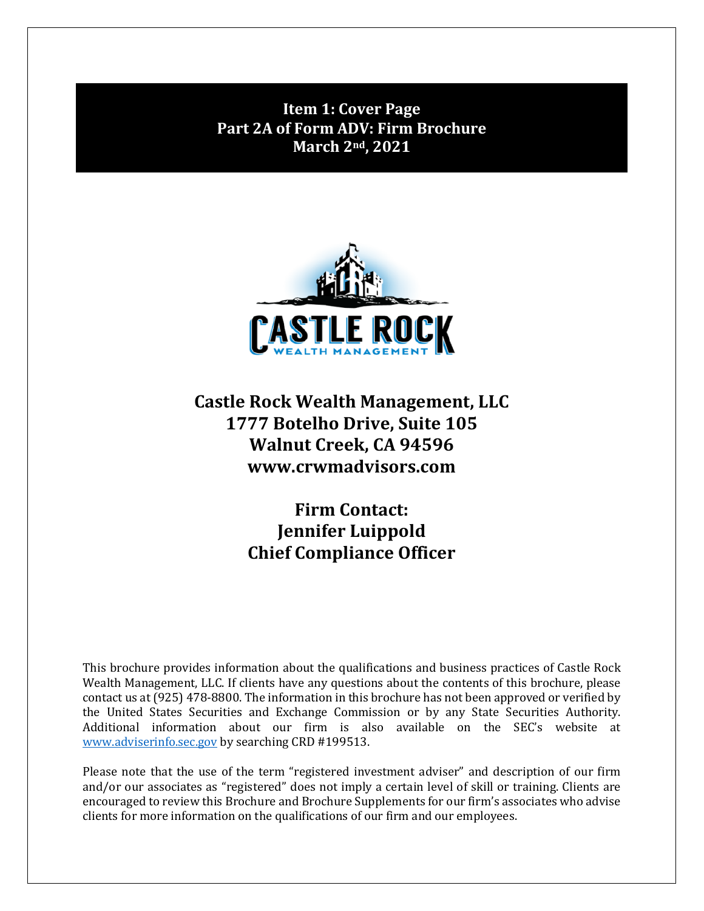<span id="page-0-0"></span>**Item 1: Cover Page Part 2A of Form ADV: Firm Brochure March 2nd, 2021**



**Castle Rock Wealth Management, LLC 1777 Botelho Drive, Suite 105 Walnut Creek, CA 94596 www.crwmadvisors.com**

> **Firm Contact: Jennifer Luippold Chief Compliance Officer**

This brochure provides information about the qualifications and business practices of Castle Rock Wealth Management, LLC. If clients have any questions about the contents of this brochure, please contact us at (925) 478-8800. The information in this brochure has not been approved or verified by the United States Securities and Exchange Commission or by any State Securities Authority. Additional information about our firm is also available on the SEC's website at [www.adviserinfo.sec.gov](http://www.adviserinfo.sec.gov/) by searching CRD #199513.

Please note that the use of the term "registered investment adviser" and description of our firm and/or our associates as "registered" does not imply a certain level of skill or training. Clients are encouraged to review this Brochure and Brochure Supplements for our firm's associates who advise clients for more information on the qualifications of our firm and our employees.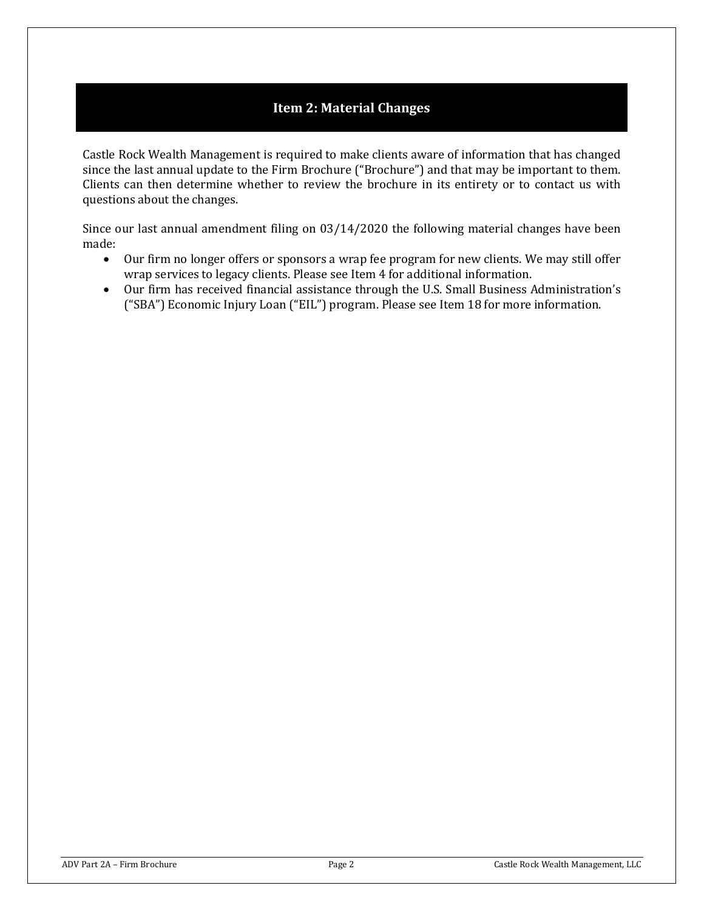## **Item 2: Material Changes**

<span id="page-1-0"></span>Castle Rock Wealth Management is required to make clients aware of information that has changed since the last annual update to the Firm Brochure ("Brochure") and that may be important to them. Clients can then determine whether to review the brochure in its entirety or to contact us with questions about the changes.

Since our last annual amendment filing on 03/14/2020 the following material changes have been made:

- Our firm no longer offers or sponsors a wrap fee program for new clients. We may still offer wrap services to legacy clients. Please see Item 4 for additional information.
- Our firm has received financial assistance through the U.S. Small Business Administration's ("SBA") Economic Injury Loan ("EIL") program. Please see Item 18 for more information.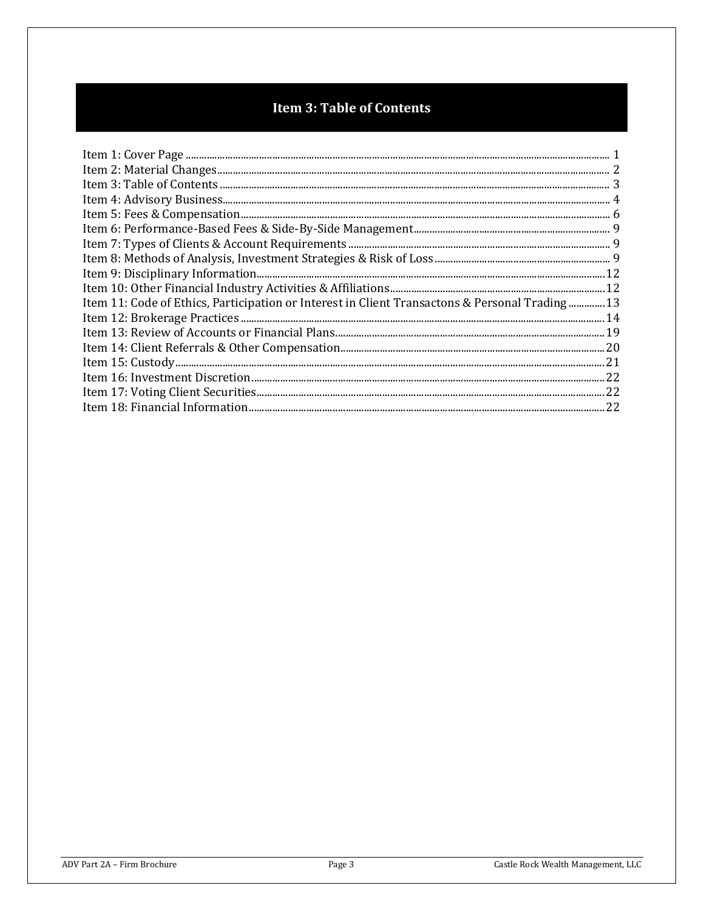# **Item 3: Table of Contents**

<span id="page-2-0"></span>

| 13. Item 11: Code of Ethics, Participation or Interest in Client Transactons & Personal Trading13 |  |
|---------------------------------------------------------------------------------------------------|--|
|                                                                                                   |  |
|                                                                                                   |  |
|                                                                                                   |  |
| $\qquad \qquad \text{Item 15: Custody} \qquad \qquad 21 \\$                                       |  |
|                                                                                                   |  |
|                                                                                                   |  |
|                                                                                                   |  |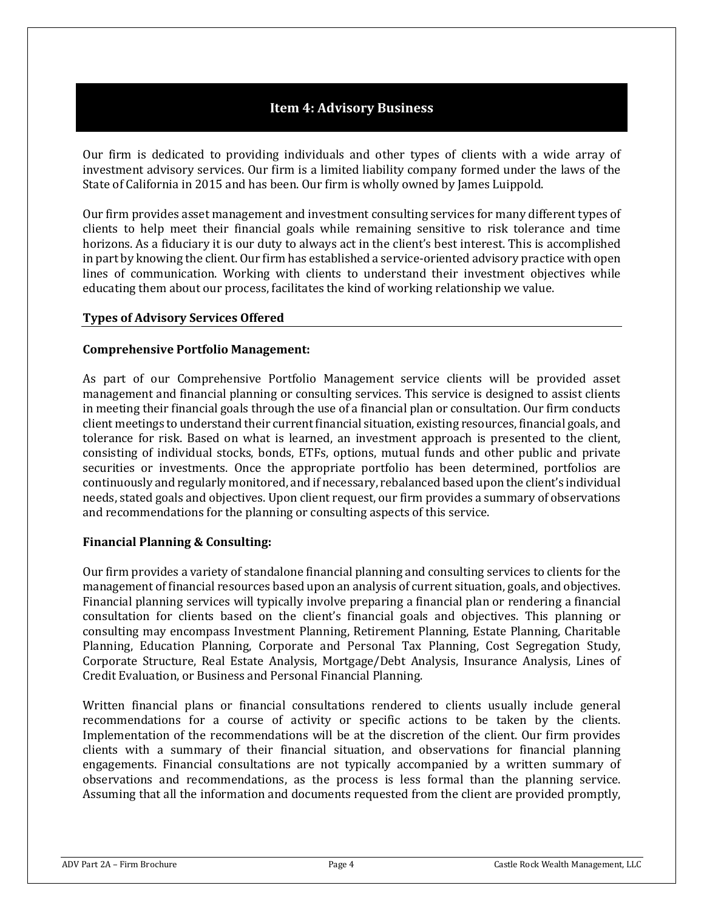## **Item 4: Advisory Business**

<span id="page-3-0"></span>Our firm is dedicated to providing individuals and other types of clients with a wide array of investment advisory services. Our firm is a limited liability company formed under the laws of the State of California in 2015 and has been. Our firm is wholly owned by James Luippold.

Our firm provides asset management and investment consulting services for many different types of clients to help meet their financial goals while remaining sensitive to risk tolerance and time horizons. As a fiduciary it is our duty to always act in the client's best interest. This is accomplished in part by knowing the client. Our firm has established a service-oriented advisory practice with open lines of communication. Working with clients to understand their investment objectives while educating them about our process, facilitates the kind of working relationship we value.

## **Types of Advisory Services Offered**

### **Comprehensive Portfolio Management:**

As part of our Comprehensive Portfolio Management service clients will be provided asset management and financial planning or consulting services. This service is designed to assist clients in meeting their financial goals through the use of a financial plan or consultation. Our firm conducts client meetings to understand their current financial situation, existing resources, financial goals, and tolerance for risk. Based on what is learned, an investment approach is presented to the client, consisting of individual stocks, bonds, ETFs, options, mutual funds and other public and private securities or investments. Once the appropriate portfolio has been determined, portfolios are continuously and regularly monitored, and if necessary, rebalanced based upon the client's individual needs, stated goals and objectives. Upon client request, our firm provides a summary of observations and recommendations for the planning or consulting aspects of this service.

### **Financial Planning & Consulting:**

Our firm provides a variety of standalone financial planning and consulting services to clients for the management of financial resources based upon an analysis of current situation, goals, and objectives. Financial planning services will typically involve preparing a financial plan or rendering a financial consultation for clients based on the client's financial goals and objectives. This planning or consulting may encompass Investment Planning, Retirement Planning, Estate Planning, Charitable Planning, Education Planning, Corporate and Personal Tax Planning, Cost Segregation Study, Corporate Structure, Real Estate Analysis, Mortgage/Debt Analysis, Insurance Analysis, Lines of Credit Evaluation, or Business and Personal Financial Planning.

Written financial plans or financial consultations rendered to clients usually include general recommendations for a course of activity or specific actions to be taken by the clients. Implementation of the recommendations will be at the discretion of the client. Our firm provides clients with a summary of their financial situation, and observations for financial planning engagements. Financial consultations are not typically accompanied by a written summary of observations and recommendations, as the process is less formal than the planning service. Assuming that all the information and documents requested from the client are provided promptly,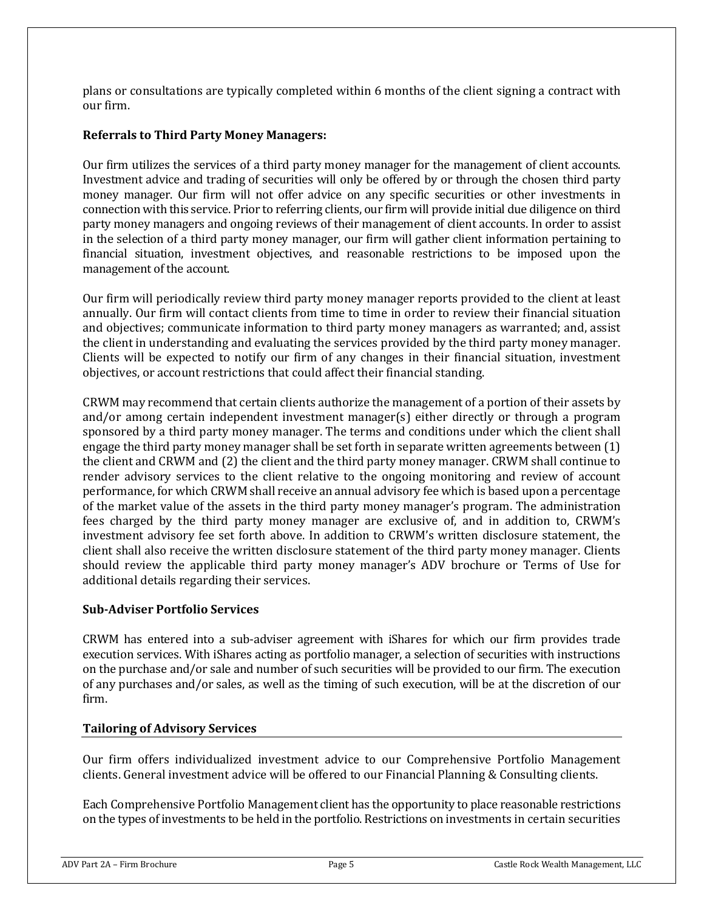plans or consultations are typically completed within 6 months of the client signing a contract with our firm.

## **Referrals to Third Party Money Managers:**

Our firm utilizes the services of a third party money manager for the management of client accounts. Investment advice and trading of securities will only be offered by or through the chosen third party money manager. Our firm will not offer advice on any specific securities or other investments in connection with this service. Prior to referring clients, our firm will provide initial due diligence on third party money managers and ongoing reviews of their management of client accounts. In order to assist in the selection of a third party money manager, our firm will gather client information pertaining to financial situation, investment objectives, and reasonable restrictions to be imposed upon the management of the account.

Our firm will periodically review third party money manager reports provided to the client at least annually. Our firm will contact clients from time to time in order to review their financial situation and objectives; communicate information to third party money managers as warranted; and, assist the client in understanding and evaluating the services provided by the third party money manager. Clients will be expected to notify our firm of any changes in their financial situation, investment objectives, or account restrictions that could affect their financial standing.

CRWM may recommend that certain clients authorize the management of a portion of their assets by and/or among certain independent investment manager(s) either directly or through a program sponsored by a third party money manager. The terms and conditions under which the client shall engage the third party money manager shall be set forth in separate written agreements between (1) the client and CRWM and (2) the client and the third party money manager. CRWM shall continue to render advisory services to the client relative to the ongoing monitoring and review of account performance, for which CRWM shall receive an annual advisory fee which is based upon a percentage of the market value of the assets in the third party money manager's program. The administration fees charged by the third party money manager are exclusive of, and in addition to, CRWM's investment advisory fee set forth above. In addition to CRWM's written disclosure statement, the client shall also receive the written disclosure statement of the third party money manager. Clients should review the applicable third party money manager's ADV brochure or Terms of Use for additional details regarding their services.

## **Sub-Adviser Portfolio Services**

CRWM has entered into a sub-adviser agreement with iShares for which our firm provides trade execution services. With iShares acting as portfolio manager, a selection of securities with instructions on the purchase and/or sale and number of such securities will be provided to our firm. The execution of any purchases and/or sales, as well as the timing of such execution, will be at the discretion of our firm.

### **Tailoring of Advisory Services**

Our firm offers individualized investment advice to our Comprehensive Portfolio Management clients. General investment advice will be offered to our Financial Planning & Consulting clients.

Each Comprehensive Portfolio Management client has the opportunity to place reasonable restrictions on the types of investments to be held in the portfolio. Restrictions on investments in certain securities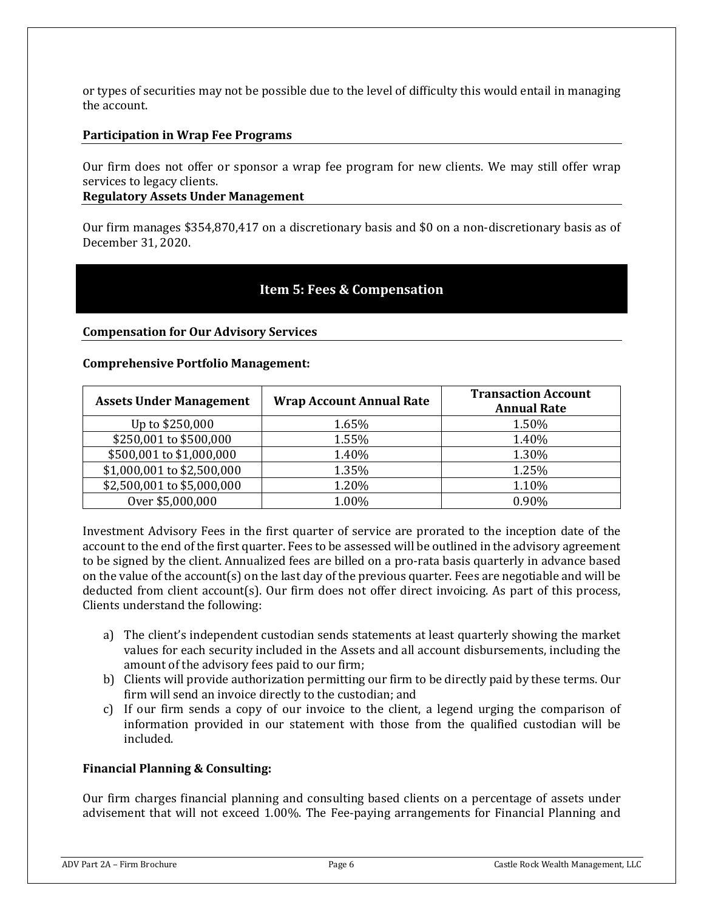or types of securities may not be possible due to the level of difficulty this would entail in managing the account.

### **Participation in Wrap Fee Programs**

Our firm does not offer or sponsor a wrap fee program for new clients. We may still offer wrap services to legacy clients.

**Regulatory Assets Under Management**

Our firm manages \$354,870,417 on a discretionary basis and \$0 on a non-discretionary basis as of December 31, 2020.

## **Item 5: Fees & Compensation**

### <span id="page-5-0"></span>**Compensation for Our Advisory Services**

### **Comprehensive Portfolio Management:**

| <b>Assets Under Management</b> | <b>Wrap Account Annual Rate</b> | <b>Transaction Account</b><br><b>Annual Rate</b> |
|--------------------------------|---------------------------------|--------------------------------------------------|
| Up to \$250,000                | 1.65%                           | 1.50%                                            |
| \$250,001 to \$500,000         | 1.55%                           | 1.40%                                            |
| \$500,001 to \$1,000,000       | 1.40%                           | 1.30%                                            |
| \$1,000,001 to \$2,500,000     | 1.35%                           | 1.25%                                            |
| \$2,500,001 to \$5,000,000     | 1.20%                           | 1.10%                                            |
| Over \$5,000,000               | 1.00%                           | 0.90%                                            |

Investment Advisory Fees in the first quarter of service are prorated to the inception date of the account to the end of the first quarter. Fees to be assessed will be outlined in the advisory agreement to be signed by the client. Annualized fees are billed on a pro-rata basis quarterly in advance based on the value of the account(s) on the last day of the previous quarter. Fees are negotiable and will be deducted from client account(s). Our firm does not offer direct invoicing. As part of this process, Clients understand the following:

- a) The client's independent custodian sends statements at least quarterly showing the market values for each security included in the Assets and all account disbursements, including the amount of the advisory fees paid to our firm;
- b) Clients will provide authorization permitting our firm to be directly paid by these terms. Our firm will send an invoice directly to the custodian; and
- c) If our firm sends a copy of our invoice to the client, a legend urging the comparison of information provided in our statement with those from the qualified custodian will be included.

### **Financial Planning & Consulting:**

Our firm charges financial planning and consulting based clients on a percentage of assets under advisement that will not exceed 1.00%. The Fee-paying arrangements for Financial Planning and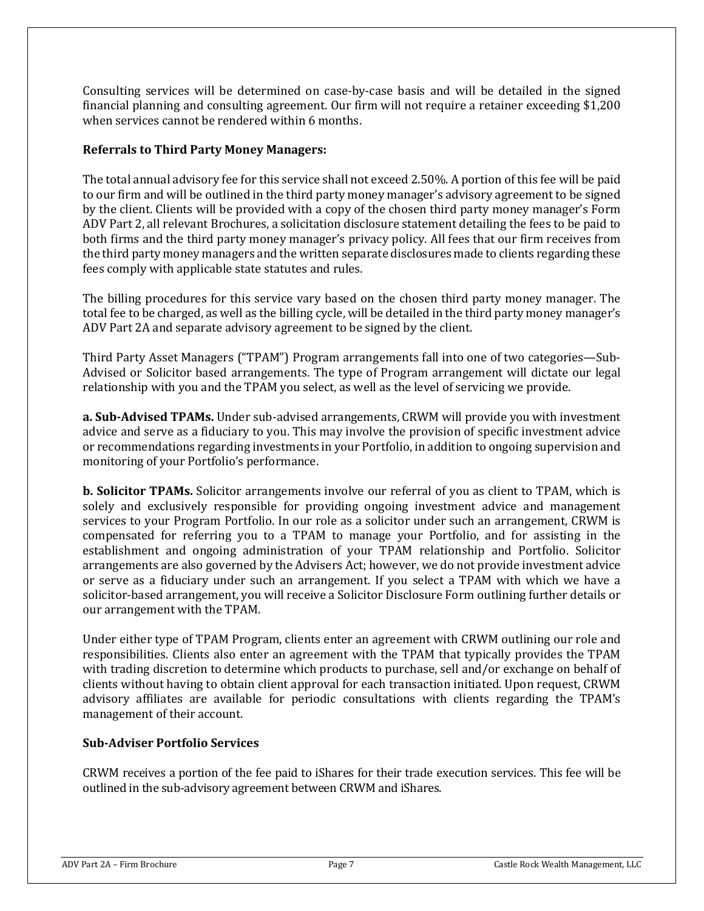Consulting services will be determined on case-by-case basis and will be detailed in the signed financial planning and consulting agreement. Our firm will not require a retainer exceeding \$1,200 when services cannot be rendered within 6 months.

## **Referrals to Third Party Money Managers:**

The total annual advisory fee for this service shall not exceed 2.50%. A portion of this fee will be paid to our firm and will be outlined in the third party money manager's advisory agreement to be signed by the client. Clients will be provided with a copy of the chosen third party money manager's Form ADV Part 2, all relevant Brochures, a solicitation disclosure statement detailing the fees to be paid to both firms and the third party money manager's privacy policy. All fees that our firm receives from the third party money managers and the written separate disclosures made to clients regarding these fees comply with applicable state statutes and rules.

The billing procedures for this service vary based on the chosen third party money manager. The total fee to be charged, as well as the billing cycle, will be detailed in the third party money manager's ADV Part 2A and separate advisory agreement to be signed by the client.

Third Party Asset Managers ("TPAM") Program arrangements fall into one of two categories—Sub-Advised or Solicitor based arrangements. The type of Program arrangement will dictate our legal relationship with you and the TPAM you select, as well as the level of servicing we provide.

**a. Sub-Advised TPAMs.** Under sub-advised arrangements, CRWM will provide you with investment advice and serve as a fiduciary to you. This may involve the provision of specific investment advice or recommendations regarding investments in your Portfolio, in addition to ongoing supervision and monitoring of your Portfolio's performance.

**b. Solicitor TPAMs.** Solicitor arrangements involve our referral of you as client to TPAM, which is solely and exclusively responsible for providing ongoing investment advice and management services to your Program Portfolio. In our role as a solicitor under such an arrangement, CRWM is compensated for referring you to a TPAM to manage your Portfolio, and for assisting in the establishment and ongoing administration of your TPAM relationship and Portfolio. Solicitor arrangements are also governed by the Advisers Act; however, we do not provide investment advice or serve as a fiduciary under such an arrangement. If you select a TPAM with which we have a solicitor-based arrangement, you will receive a Solicitor Disclosure Form outlining further details or our arrangement with the TPAM.

Under either type of TPAM Program, clients enter an agreement with CRWM outlining our role and responsibilities. Clients also enter an agreement with the TPAM that typically provides the TPAM with trading discretion to determine which products to purchase, sell and/or exchange on behalf of clients without having to obtain client approval for each transaction initiated. Upon request, CRWM advisory affiliates are available for periodic consultations with clients regarding the TPAM's management of their account.

### **Sub-Adviser Portfolio Services**

CRWM receives a portion of the fee paid to iShares for their trade execution services. This fee will be outlined in the sub-advisory agreement between CRWM and iShares.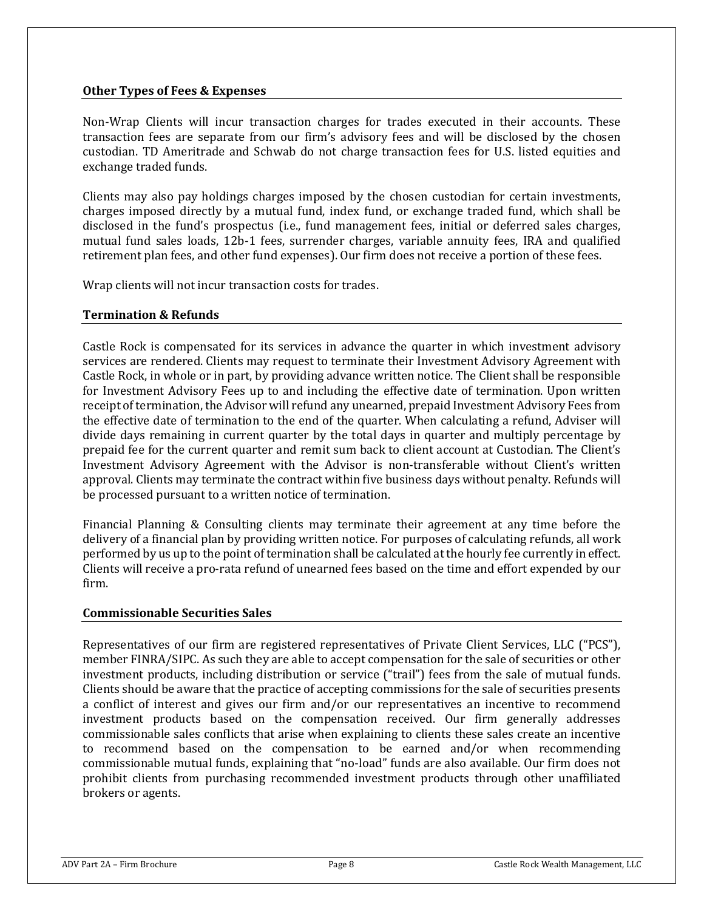### **Other Types of Fees & Expenses**

Non-Wrap Clients will incur transaction charges for trades executed in their accounts. These transaction fees are separate from our firm's advisory fees and will be disclosed by the chosen custodian. TD Ameritrade and Schwab do not charge transaction fees for U.S. listed equities and exchange traded funds.

Clients may also pay holdings charges imposed by the chosen custodian for certain investments, charges imposed directly by a mutual fund, index fund, or exchange traded fund, which shall be disclosed in the fund's prospectus (i.e., fund management fees, initial or deferred sales charges, mutual fund sales loads, 12b-1 fees, surrender charges, variable annuity fees, IRA and qualified retirement plan fees, and other fund expenses). Our firm does not receive a portion of these fees.

Wrap clients will not incur transaction costs for trades.

## **Termination & Refunds**

Castle Rock is compensated for its services in advance the quarter in which investment advisory services are rendered. Clients may request to terminate their Investment Advisory Agreement with Castle Rock, in whole or in part, by providing advance written notice. The Client shall be responsible for Investment Advisory Fees up to and including the effective date of termination. Upon written receipt of termination, the Advisor will refund any unearned, prepaid Investment Advisory Fees from the effective date of termination to the end of the quarter. When calculating a refund, Adviser will divide days remaining in current quarter by the total days in quarter and multiply percentage by prepaid fee for the current quarter and remit sum back to client account at Custodian. The Client's Investment Advisory Agreement with the Advisor is non-transferable without Client's written approval. Clients may terminate the contract within five business days without penalty. Refunds will be processed pursuant to a written notice of termination.

Financial Planning & Consulting clients may terminate their agreement at any time before the delivery of a financial plan by providing written notice. For purposes of calculating refunds, all work performed by us up to the point of termination shall be calculated at the hourly fee currently in effect. Clients will receive a pro-rata refund of unearned fees based on the time and effort expended by our firm.

### **Commissionable Securities Sales**

Representatives of our firm are registered representatives of Private Client Services, LLC ("PCS"), member FINRA/SIPC. As such they are able to accept compensation for the sale of securities or other investment products, including distribution or service ("trail") fees from the sale of mutual funds. Clients should be aware that the practice of accepting commissions for the sale of securities presents a conflict of interest and gives our firm and/or our representatives an incentive to recommend investment products based on the compensation received. Our firm generally addresses commissionable sales conflicts that arise when explaining to clients these sales create an incentive to recommend based on the compensation to be earned and/or when recommending commissionable mutual funds, explaining that "no-load" funds are also available. Our firm does not prohibit clients from purchasing recommended investment products through other unaffiliated brokers or agents.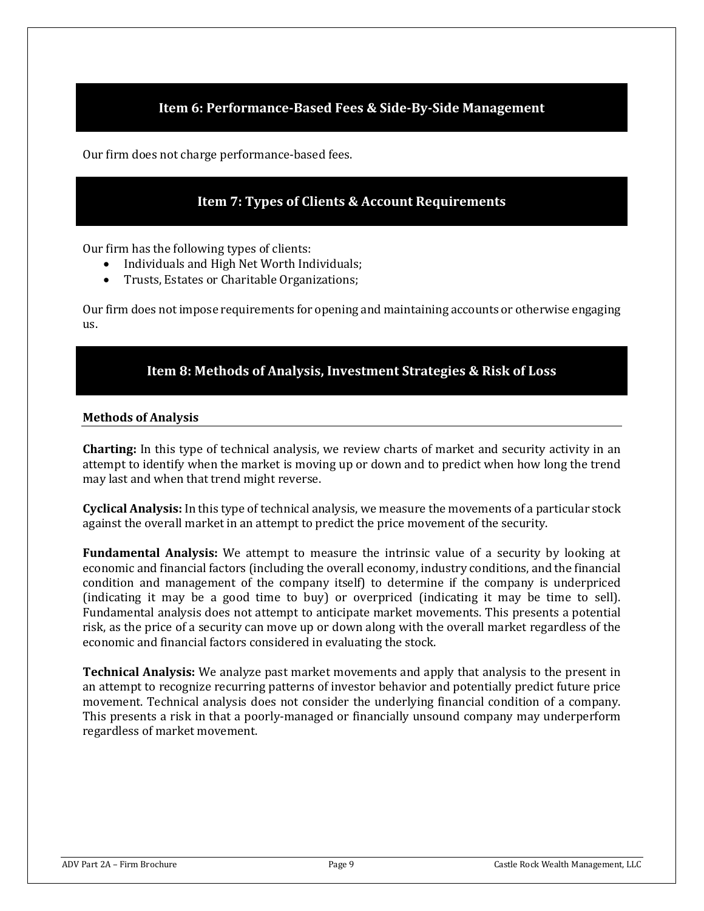## **Item 6: Performance-Based Fees & Side-By-Side Management**

<span id="page-8-1"></span><span id="page-8-0"></span>Our firm does not charge performance-based fees.

## **Item 7: Types of Clients & Account Requirements**

Our firm has the following types of clients:

- Individuals and High Net Worth Individuals;
- Trusts, Estates or Charitable Organizations;

Our firm does not impose requirements for opening and maintaining accounts or otherwise engaging us.

## **Item 8: Methods of Analysis, Investment Strategies & Risk of Loss**

### <span id="page-8-2"></span>**Methods of Analysis**

**Charting:** In this type of technical analysis, we review charts of market and security activity in an attempt to identify when the market is moving up or down and to predict when how long the trend may last and when that trend might reverse.

**Cyclical Analysis:** In this type of technical analysis, we measure the movements of a particular stock against the overall market in an attempt to predict the price movement of the security.

**Fundamental Analysis:** We attempt to measure the intrinsic value of a security by looking at economic and financial factors (including the overall economy, industry conditions, and the financial condition and management of the company itself) to determine if the company is underpriced (indicating it may be a good time to buy) or overpriced (indicating it may be time to sell). Fundamental analysis does not attempt to anticipate market movements. This presents a potential risk, as the price of a security can move up or down along with the overall market regardless of the economic and financial factors considered in evaluating the stock.

**Technical Analysis:** We analyze past market movements and apply that analysis to the present in an attempt to recognize recurring patterns of investor behavior and potentially predict future price movement. Technical analysis does not consider the underlying financial condition of a company. This presents a risk in that a poorly-managed or financially unsound company may underperform regardless of market movement.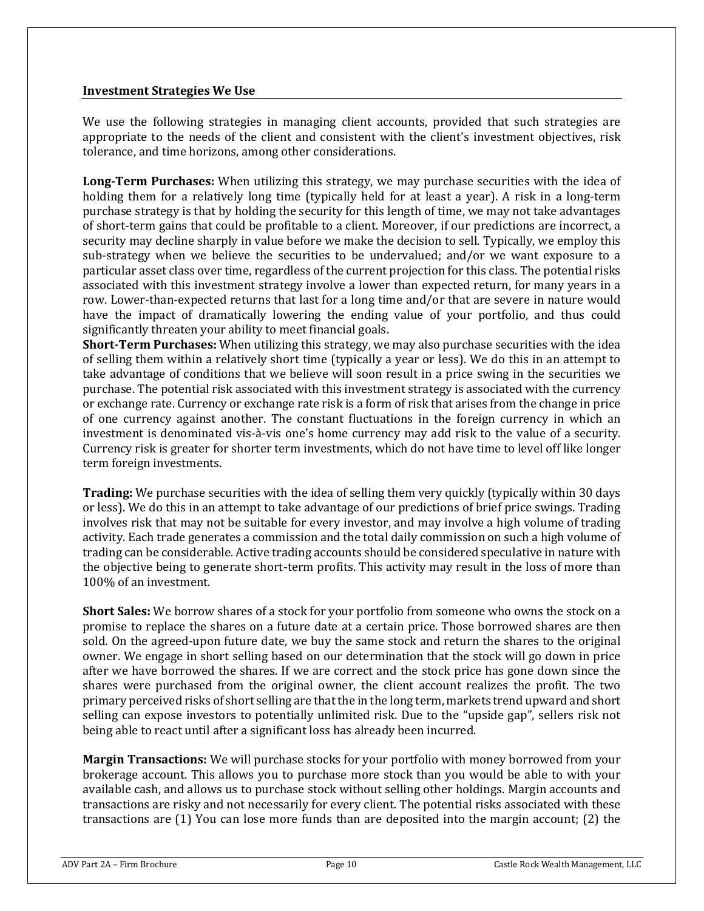### **Investment Strategies We Use**

We use the following strategies in managing client accounts, provided that such strategies are appropriate to the needs of the client and consistent with the client's investment objectives, risk tolerance, and time horizons, among other considerations.

**Long-Term Purchases:** When utilizing this strategy, we may purchase securities with the idea of holding them for a relatively long time (typically held for at least a year). A risk in a long-term purchase strategy is that by holding the security for this length of time, we may not take advantages of short-term gains that could be profitable to a client. Moreover, if our predictions are incorrect, a security may decline sharply in value before we make the decision to sell. Typically, we employ this sub-strategy when we believe the securities to be undervalued; and/or we want exposure to a particular asset class over time, regardless of the current projection for this class. The potential risks associated with this investment strategy involve a lower than expected return, for many years in a row. Lower-than-expected returns that last for a long time and/or that are severe in nature would have the impact of dramatically lowering the ending value of your portfolio, and thus could significantly threaten your ability to meet financial goals.

**Short-Term Purchases:** When utilizing this strategy, we may also purchase securities with the idea of selling them within a relatively short time (typically a year or less). We do this in an attempt to take advantage of conditions that we believe will soon result in a price swing in the securities we purchase. The potential risk associated with this investment strategy is associated with the currency or exchange rate. Currency or exchange rate risk is a form of risk that arises from the change in price of one currency against another. The constant fluctuations in the foreign currency in which an investment is denominated vis-à-vis one's home currency may add risk to the value of a security. Currency risk is greater for shorter term investments, which do not have time to level off like longer term foreign investments.

**Trading:** We purchase securities with the idea of selling them very quickly (typically within 30 days or less). We do this in an attempt to take advantage of our predictions of brief price swings. Trading involves risk that may not be suitable for every investor, and may involve a high volume of trading activity. Each trade generates a commission and the total daily commission on such a high volume of trading can be considerable. Active trading accounts should be considered speculative in nature with the objective being to generate short-term profits. This activity may result in the loss of more than 100% of an investment.

**Short Sales:** We borrow shares of a stock for your portfolio from someone who owns the stock on a promise to replace the shares on a future date at a certain price. Those borrowed shares are then sold. On the agreed-upon future date, we buy the same stock and return the shares to the original owner. We engage in short selling based on our determination that the stock will go down in price after we have borrowed the shares. If we are correct and the stock price has gone down since the shares were purchased from the original owner, the client account realizes the profit. The two primary perceived risks of short selling are that the in the long term, markets trend upward and short selling can expose investors to potentially unlimited risk. Due to the "upside gap", sellers risk not being able to react until after a significant loss has already been incurred.

**Margin Transactions:** We will purchase stocks for your portfolio with money borrowed from your brokerage account. This allows you to purchase more stock than you would be able to with your available cash, and allows us to purchase stock without selling other holdings. Margin accounts and transactions are risky and not necessarily for every client. The potential risks associated with these transactions are (1) You can lose more funds than are deposited into the margin account; (2) the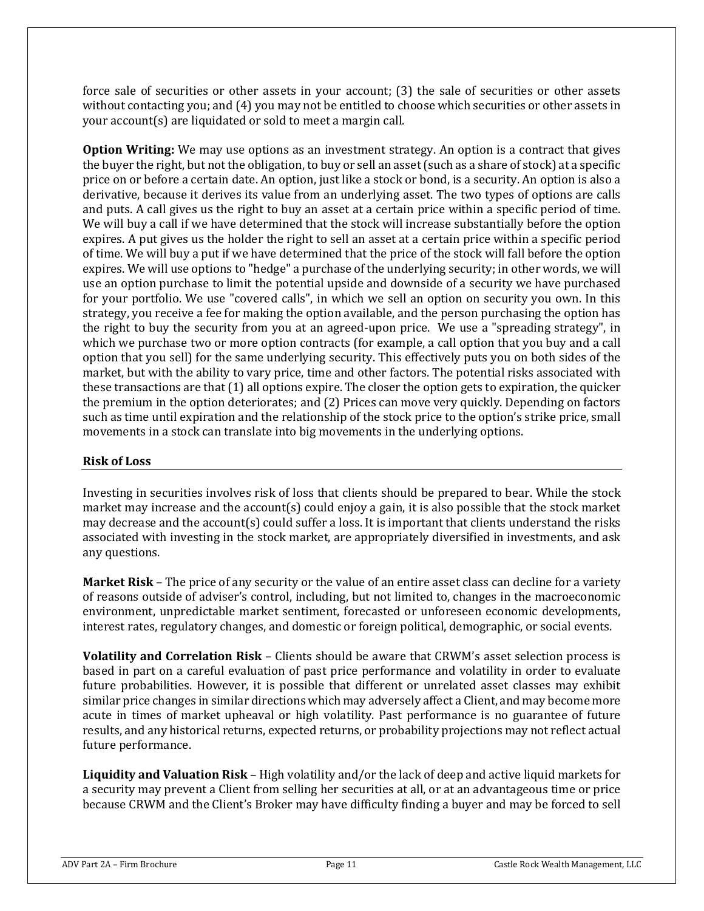force sale of securities or other assets in your account; (3) the sale of securities or other assets without contacting you; and (4) you may not be entitled to choose which securities or other assets in your account(s) are liquidated or sold to meet a margin call.

**Option Writing:** We may use options as an investment strategy. An option is a contract that gives the buyer the right, but not the obligation, to buy or sell an asset (such as a share of stock) at a specific price on or before a certain date. An option, just like a stock or bond, is a security. An option is also a derivative, because it derives its value from an underlying asset. The two types of options are calls and puts. A call gives us the right to buy an asset at a certain price within a specific period of time. We will buy a call if we have determined that the stock will increase substantially before the option expires. A put gives us the holder the right to sell an asset at a certain price within a specific period of time. We will buy a put if we have determined that the price of the stock will fall before the option expires. We will use options to "hedge" a purchase of the underlying security; in other words, we will use an option purchase to limit the potential upside and downside of a security we have purchased for your portfolio. We use "covered calls", in which we sell an option on security you own. In this strategy, you receive a fee for making the option available, and the person purchasing the option has the right to buy the security from you at an agreed-upon price. We use a "spreading strategy", in which we purchase two or more option contracts (for example, a call option that you buy and a call option that you sell) for the same underlying security. This effectively puts you on both sides of the market, but with the ability to vary price, time and other factors. The potential risks associated with these transactions are that (1) all options expire. The closer the option gets to expiration, the quicker the premium in the option deteriorates; and (2) Prices can move very quickly. Depending on factors such as time until expiration and the relationship of the stock price to the option's strike price, small movements in a stock can translate into big movements in the underlying options.

## **Risk of Loss**

Investing in securities involves risk of loss that clients should be prepared to bear. While the stock market may increase and the account(s) could enjoy a gain, it is also possible that the stock market may decrease and the account(s) could suffer a loss. It is important that clients understand the risks associated with investing in the stock market, are appropriately diversified in investments, and ask any questions.

**Market Risk** – The price of any security or the value of an entire asset class can decline for a variety of reasons outside of adviser's control, including, but not limited to, changes in the macroeconomic environment, unpredictable market sentiment, forecasted or unforeseen economic developments, interest rates, regulatory changes, and domestic or foreign political, demographic, or social events.

**Volatility and Correlation Risk** – Clients should be aware that CRWM's asset selection process is based in part on a careful evaluation of past price performance and volatility in order to evaluate future probabilities. However, it is possible that different or unrelated asset classes may exhibit similar price changes in similar directions which may adversely affect a Client, and may become more acute in times of market upheaval or high volatility. Past performance is no guarantee of future results, and any historical returns, expected returns, or probability projections may not reflect actual future performance.

**Liquidity and Valuation Risk** – High volatility and/or the lack of deep and active liquid markets for a security may prevent a Client from selling her securities at all, or at an advantageous time or price because CRWM and the Client's Broker may have difficulty finding a buyer and may be forced to sell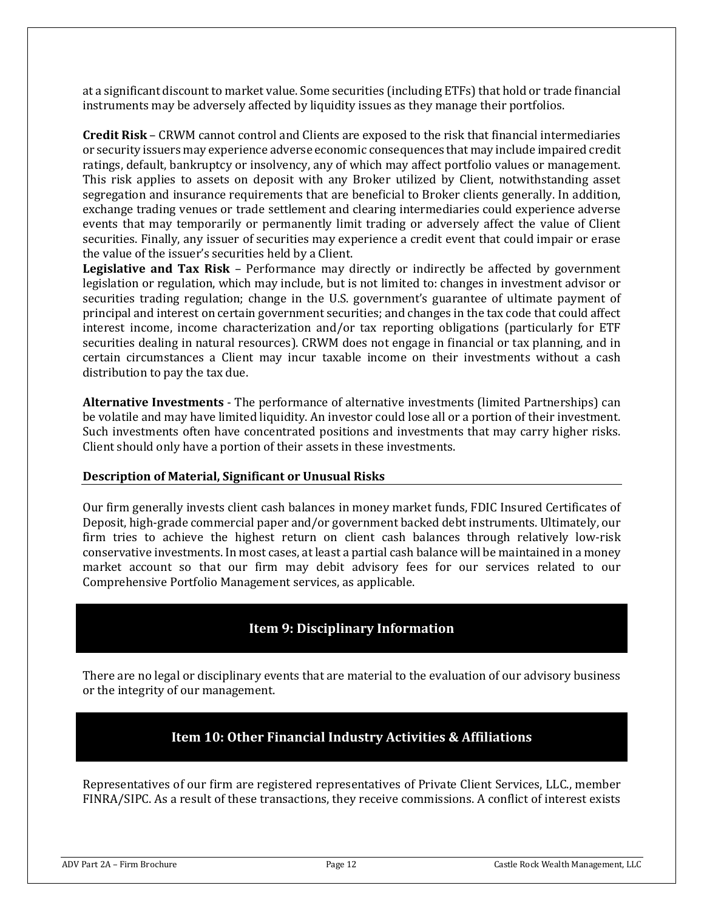at a significant discount to market value. Some securities (including ETFs) that hold or trade financial instruments may be adversely affected by liquidity issues as they manage their portfolios.

**Credit Risk** – CRWM cannot control and Clients are exposed to the risk that financial intermediaries or security issuers may experience adverse economic consequences that may include impaired credit ratings, default, bankruptcy or insolvency, any of which may affect portfolio values or management. This risk applies to assets on deposit with any Broker utilized by Client, notwithstanding asset segregation and insurance requirements that are beneficial to Broker clients generally. In addition, exchange trading venues or trade settlement and clearing intermediaries could experience adverse events that may temporarily or permanently limit trading or adversely affect the value of Client securities. Finally, any issuer of securities may experience a credit event that could impair or erase the value of the issuer's securities held by a Client.

**Legislative and Tax Risk** – Performance may directly or indirectly be affected by government legislation or regulation, which may include, but is not limited to: changes in investment advisor or securities trading regulation; change in the U.S. government's guarantee of ultimate payment of principal and interest on certain government securities; and changes in the tax code that could affect interest income, income characterization and/or tax reporting obligations (particularly for ETF securities dealing in natural resources). CRWM does not engage in financial or tax planning, and in certain circumstances a Client may incur taxable income on their investments without a cash distribution to pay the tax due.

**Alternative Investments** - The performance of alternative investments (limited Partnerships) can be volatile and may have limited liquidity. An investor could lose all or a portion of their investment. Such investments often have concentrated positions and investments that may carry higher risks. Client should only have a portion of their assets in these investments.

### **Description of Material, Significant or Unusual Risks**

Our firm generally invests client cash balances in money market funds, FDIC Insured Certificates of Deposit, high-grade commercial paper and/or government backed debt instruments. Ultimately, our firm tries to achieve the highest return on client cash balances through relatively low-risk conservative investments. In most cases, at least a partial cash balance will be maintained in a money market account so that our firm may debit advisory fees for our services related to our Comprehensive Portfolio Management services, as applicable.

## **Item 9: Disciplinary Information**

<span id="page-11-0"></span>There are no legal or disciplinary events that are material to the evaluation of our advisory business or the integrity of our management.

## **Item 10: Other Financial Industry Activities & Affiliations**

<span id="page-11-1"></span>Representatives of our firm are registered representatives of Private Client Services, LLC., member FINRA/SIPC. As a result of these transactions, they receive commissions. A conflict of interest exists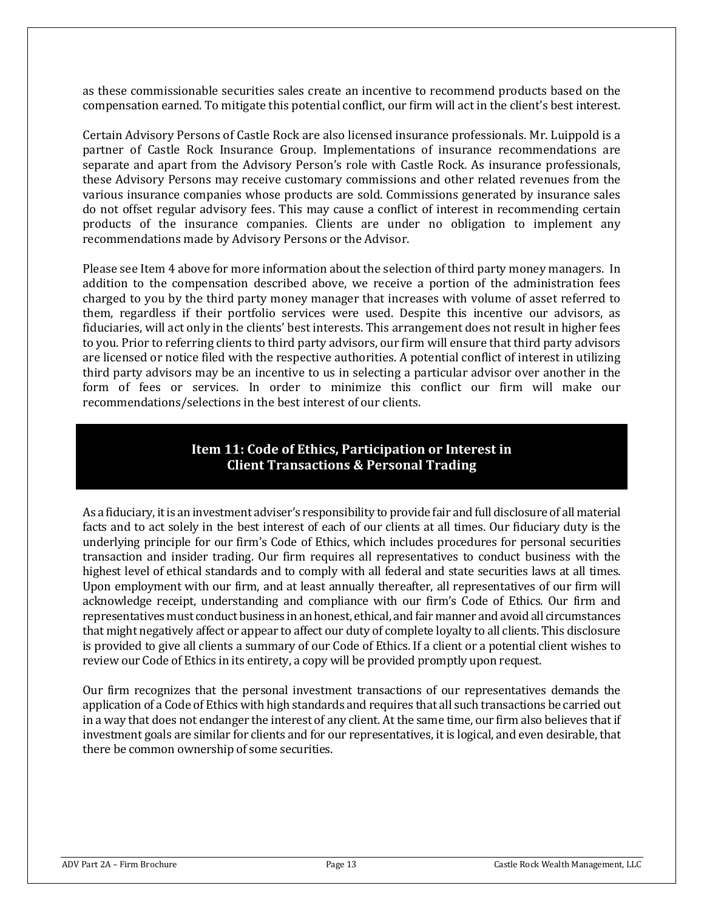as these commissionable securities sales create an incentive to recommend products based on the compensation earned. To mitigate this potential conflict, our firm will act in the client's best interest.

Certain Advisory Persons of Castle Rock are also licensed insurance professionals. Mr. Luippold is a partner of Castle Rock Insurance Group. Implementations of insurance recommendations are separate and apart from the Advisory Person's role with Castle Rock. As insurance professionals, these Advisory Persons may receive customary commissions and other related revenues from the various insurance companies whose products are sold. Commissions generated by insurance sales do not offset regular advisory fees. This may cause a conflict of interest in recommending certain products of the insurance companies. Clients are under no obligation to implement any recommendations made by Advisory Persons or the Advisor.

Please see Item 4 above for more information about the selection of third party money managers. In addition to the compensation described above, we receive a portion of the administration fees charged to you by the third party money manager that increases with volume of asset referred to them, regardless if their portfolio services were used. Despite this incentive our advisors, as fiduciaries, will act only in the clients' best interests. This arrangement does not result in higher fees to you. Prior to referring clients to third party advisors, our firm will ensure that third party advisors are licensed or notice filed with the respective authorities. A potential conflict of interest in utilizing third party advisors may be an incentive to us in selecting a particular advisor over another in the form of fees or services. In order to minimize this conflict our firm will make our recommendations/selections in the best interest of our clients.

## **Item 11: Code of Ethics, Participation or Interest in Client Transactions & Personal Trading**

<span id="page-12-0"></span>As a fiduciary, it is an investment adviser's responsibility to provide fair and full disclosure of all material facts and to act solely in the best interest of each of our clients at all times. Our fiduciary duty is the underlying principle for our firm's Code of Ethics, which includes procedures for personal securities transaction and insider trading. Our firm requires all representatives to conduct business with the highest level of ethical standards and to comply with all federal and state securities laws at all times. Upon employment with our firm, and at least annually thereafter, all representatives of our firm will acknowledge receipt, understanding and compliance with our firm's Code of Ethics. Our firm and representatives must conduct business in an honest, ethical, and fair manner and avoid all circumstances that might negatively affect or appear to affect our duty of complete loyalty to all clients. This disclosure is provided to give all clients a summary of our Code of Ethics. If a client or a potential client wishes to review our Code of Ethics in its entirety, a copy will be provided promptly upon request.

Our firm recognizes that the personal investment transactions of our representatives demands the application of a Code of Ethics with high standards and requires that all such transactions be carried out in a way that does not endanger the interest of any client. At the same time, our firm also believes that if investment goals are similar for clients and for our representatives, it is logical, and even desirable, that there be common ownership of some securities.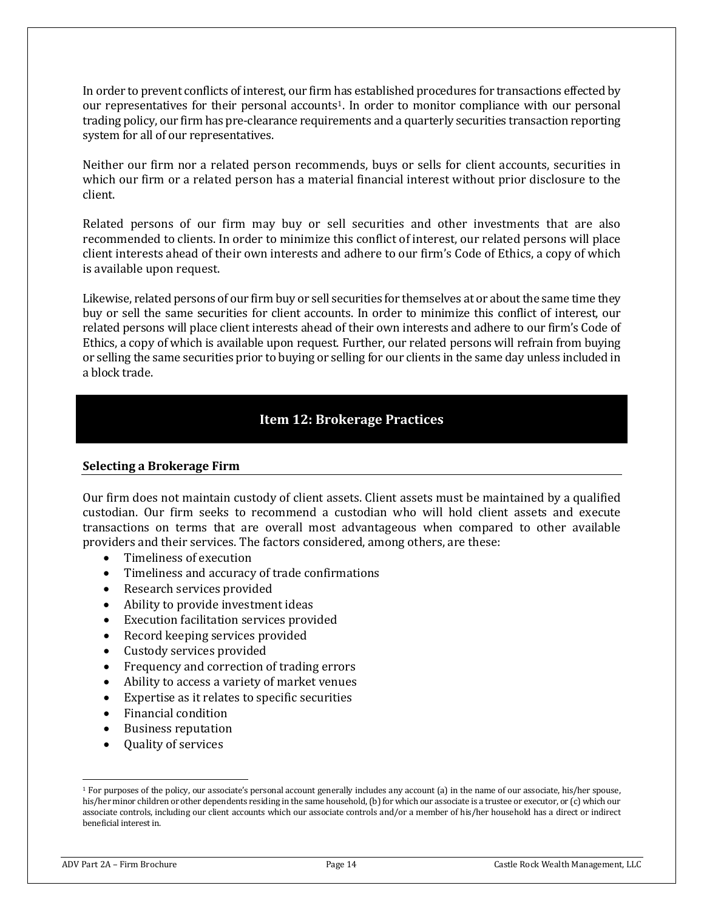In order to prevent conflicts of interest, our firm has established procedures for transactions effected by our representatives for their personal accounts[1.](#page-13-1) In order to monitor compliance with our personal trading policy, our firm has pre-clearance requirements and a quarterly securities transaction reporting system for all of our representatives.

Neither our firm nor a related person recommends, buys or sells for client accounts, securities in which our firm or a related person has a material financial interest without prior disclosure to the client.

Related persons of our firm may buy or sell securities and other investments that are also recommended to clients. In order to minimize this conflict of interest, our related persons will place client interests ahead of their own interests and adhere to our firm's Code of Ethics, a copy of which is available upon request.

Likewise, related persons of our firm buy or sell securities for themselves at or about the same time they buy or sell the same securities for client accounts. In order to minimize this conflict of interest, our related persons will place client interests ahead of their own interests and adhere to our firm's Code of Ethics, a copy of which is available upon request. Further, our related persons will refrain from buying or selling the same securities prior to buying or selling for our clients in the same day unless included in a block trade.

## **Item 12: Brokerage Practices**

### <span id="page-13-0"></span>**Selecting a Brokerage Firm**

Our firm does not maintain custody of client assets. Client assets must be maintained by a qualified custodian. Our firm seeks to recommend a custodian who will hold client assets and execute transactions on terms that are overall most advantageous when compared to other available providers and their services. The factors considered, among others, are these:

- Timeliness of execution
- Timeliness and accuracy of trade confirmations
- Research services provided
- Ability to provide investment ideas
- Execution facilitation services provided
- Record keeping services provided
- Custody services provided
- Frequency and correction of trading errors
- Ability to access a variety of market venues
- Expertise as it relates to specific securities
- Financial condition
- Business reputation
- Quality of services

<span id="page-13-1"></span><sup>&</sup>lt;sup>1</sup> For purposes of the policy, our associate's personal account generally includes any account (a) in the name of our associate, his/her spouse, his/her minor children or other dependents residing in the same household, (b) for which our associate is a trustee or executor, or (c) which our associate controls, including our client accounts which our associate controls and/or a member of his/her household has a direct or indirect beneficial interest in.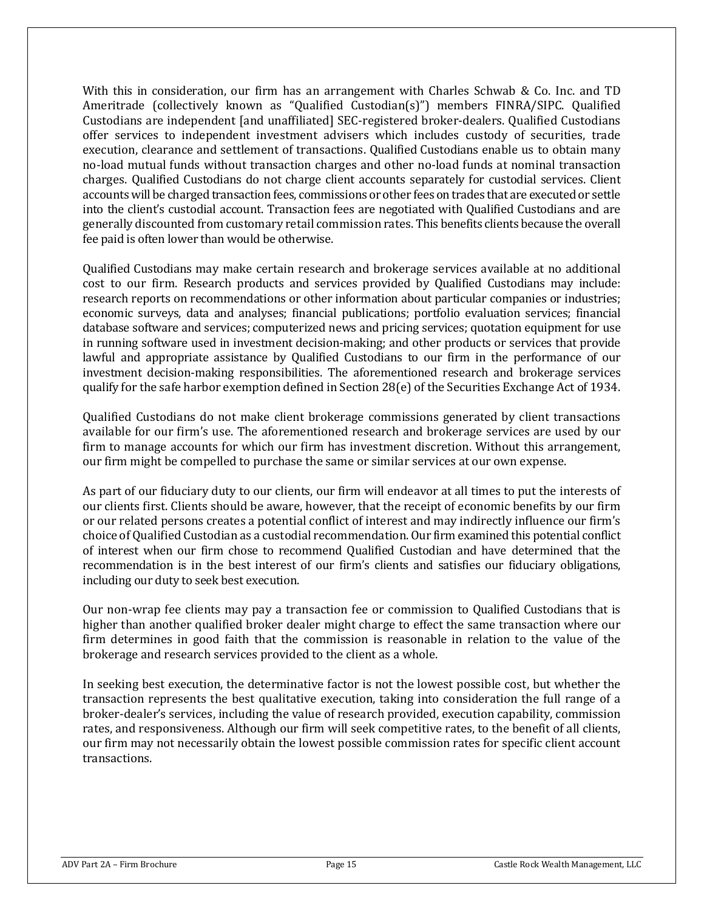With this in consideration, our firm has an arrangement with Charles Schwab & Co. Inc. and TD Ameritrade (collectively known as "Qualified Custodian(s)") members FINRA/SIPC. Qualified Custodians are independent [and unaffiliated] SEC-registered broker-dealers. Qualified Custodians offer services to independent investment advisers which includes custody of securities, trade execution, clearance and settlement of transactions. Qualified Custodians enable us to obtain many no-load mutual funds without transaction charges and other no-load funds at nominal transaction charges. Qualified Custodians do not charge client accounts separately for custodial services. Client accounts will be charged transaction fees, commissions or other fees on trades that are executed or settle into the client's custodial account. Transaction fees are negotiated with Qualified Custodians and are generally discounted from customary retail commission rates. This benefits clients because the overall fee paid is often lower than would be otherwise.

Qualified Custodians may make certain research and brokerage services available at no additional cost to our firm. Research products and services provided by Qualified Custodians may include: research reports on recommendations or other information about particular companies or industries; economic surveys, data and analyses; financial publications; portfolio evaluation services; financial database software and services; computerized news and pricing services; quotation equipment for use in running software used in investment decision-making; and other products or services that provide lawful and appropriate assistance by Qualified Custodians to our firm in the performance of our investment decision-making responsibilities. The aforementioned research and brokerage services qualify for the safe harbor exemption defined in Section 28(e) of the Securities Exchange Act of 1934.

Qualified Custodians do not make client brokerage commissions generated by client transactions available for our firm's use. The aforementioned research and brokerage services are used by our firm to manage accounts for which our firm has investment discretion. Without this arrangement, our firm might be compelled to purchase the same or similar services at our own expense.

As part of our fiduciary duty to our clients, our firm will endeavor at all times to put the interests of our clients first. Clients should be aware, however, that the receipt of economic benefits by our firm or our related persons creates a potential conflict of interest and may indirectly influence our firm's choice of Qualified Custodian as a custodial recommendation. Our firm examined this potential conflict of interest when our firm chose to recommend Qualified Custodian and have determined that the recommendation is in the best interest of our firm's clients and satisfies our fiduciary obligations, including our duty to seek best execution.

Our non-wrap fee clients may pay a transaction fee or commission to Qualified Custodians that is higher than another qualified broker dealer might charge to effect the same transaction where our firm determines in good faith that the commission is reasonable in relation to the value of the brokerage and research services provided to the client as a whole.

In seeking best execution, the determinative factor is not the lowest possible cost, but whether the transaction represents the best qualitative execution, taking into consideration the full range of a broker-dealer's services, including the value of research provided, execution capability, commission rates, and responsiveness. Although our firm will seek competitive rates, to the benefit of all clients, our firm may not necessarily obtain the lowest possible commission rates for specific client account transactions.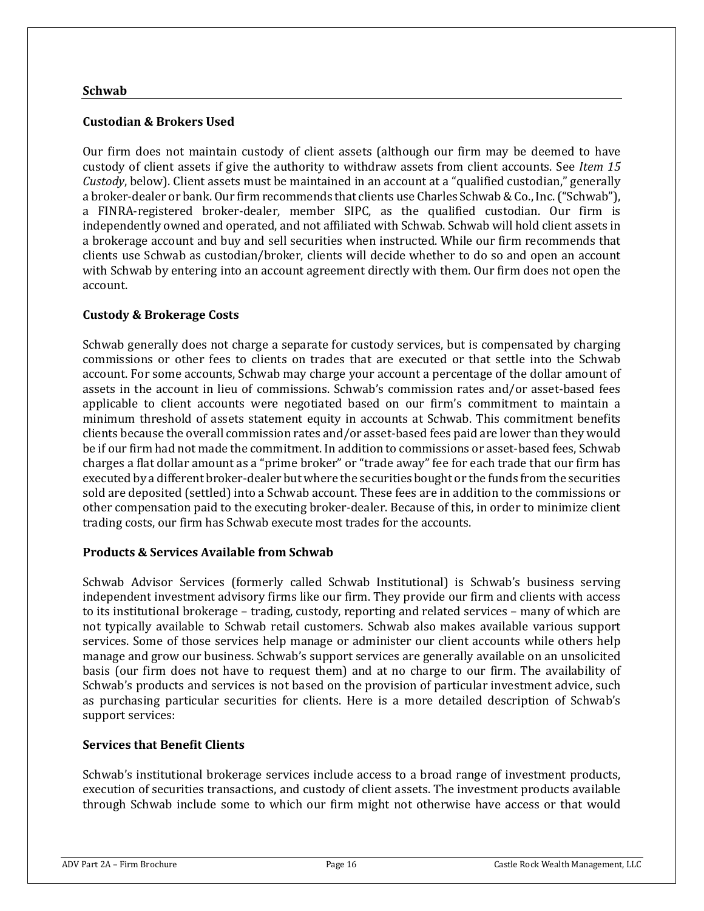#### **Schwab**

## **Custodian & Brokers Used**

Our firm does not maintain custody of client assets (although our firm may be deemed to have custody of client assets if give the authority to withdraw assets from client accounts. See *Item 15 Custody*, below). Client assets must be maintained in an account at a "qualified custodian," generally a broker-dealer or bank. Our firm recommends that clients use Charles Schwab & Co., Inc. ("Schwab"), a FINRA-registered broker-dealer, member SIPC, as the qualified custodian. Our firm is independently owned and operated, and not affiliated with Schwab. Schwab will hold client assets in a brokerage account and buy and sell securities when instructed. While our firm recommends that clients use Schwab as custodian/broker, clients will decide whether to do so and open an account with Schwab by entering into an account agreement directly with them. Our firm does not open the account.

## **Custody & Brokerage Costs**

Schwab generally does not charge a separate for custody services, but is compensated by charging commissions or other fees to clients on trades that are executed or that settle into the Schwab account. For some accounts, Schwab may charge your account a percentage of the dollar amount of assets in the account in lieu of commissions. Schwab's commission rates and/or asset-based fees applicable to client accounts were negotiated based on our firm's commitment to maintain a minimum threshold of assets statement equity in accounts at Schwab. This commitment benefits clients because the overall commission rates and/or asset-based fees paid are lower than they would be if our firm had not made the commitment. In addition to commissions or asset-based fees, Schwab charges a flat dollar amount as a "prime broker" or "trade away" fee for each trade that our firm has executed by a different broker-dealer but where the securities bought or the funds from the securities sold are deposited (settled) into a Schwab account. These fees are in addition to the commissions or other compensation paid to the executing broker-dealer. Because of this, in order to minimize client trading costs, our firm has Schwab execute most trades for the accounts.

### **Products & Services Available from Schwab**

Schwab Advisor Services (formerly called Schwab Institutional) is Schwab's business serving independent investment advisory firms like our firm. They provide our firm and clients with access to its institutional brokerage – trading, custody, reporting and related services – many of which are not typically available to Schwab retail customers. Schwab also makes available various support services. Some of those services help manage or administer our client accounts while others help manage and grow our business. Schwab's support services are generally available on an unsolicited basis (our firm does not have to request them) and at no charge to our firm. The availability of Schwab's products and services is not based on the provision of particular investment advice, such as purchasing particular securities for clients. Here is a more detailed description of Schwab's support services:

### **Services that Benefit Clients**

Schwab's institutional brokerage services include access to a broad range of investment products, execution of securities transactions, and custody of client assets. The investment products available through Schwab include some to which our firm might not otherwise have access or that would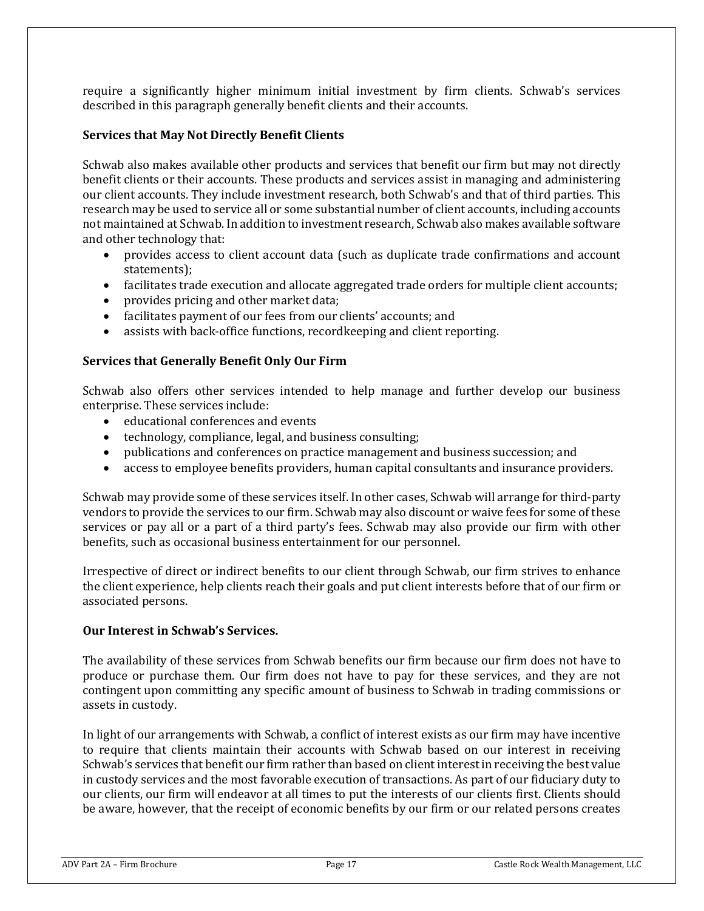require a significantly higher minimum initial investment by firm clients. Schwab's services described in this paragraph generally benefit clients and their accounts.

## **Services that May Not Directly Benefit Clients**

Schwab also makes available other products and services that benefit our firm but may not directly benefit clients or their accounts. These products and services assist in managing and administering our client accounts. They include investment research, both Schwab's and that of third parties. This research may be used to service all or some substantial number of client accounts, including accounts not maintained at Schwab. In addition to investment research, Schwab also makes available software and other technology that:

- provides access to client account data (such as duplicate trade confirmations and account statements);
- facilitates trade execution and allocate aggregated trade orders for multiple client accounts;
- provides pricing and other market data;
- facilitates payment of our fees from our clients' accounts; and
- assists with back-office functions, recordkeeping and client reporting.

## **Services that Generally Benefit Only Our Firm**

Schwab also offers other services intended to help manage and further develop our business enterprise. These services include:

- educational conferences and events
- technology, compliance, legal, and business consulting;
- publications and conferences on practice management and business succession; and
- access to employee benefits providers, human capital consultants and insurance providers.

Schwab may provide some of these services itself. In other cases, Schwab will arrange for third-party vendors to provide the services to our firm. Schwab may also discount or waive fees for some of these services or pay all or a part of a third party's fees. Schwab may also provide our firm with other benefits, such as occasional business entertainment for our personnel.

Irrespective of direct or indirect benefits to our client through Schwab, our firm strives to enhance the client experience, help clients reach their goals and put client interests before that of our firm or associated persons.

### **Our Interest in Schwab's Services.**

The availability of these services from Schwab benefits our firm because our firm does not have to produce or purchase them. Our firm does not have to pay for these services, and they are not contingent upon committing any specific amount of business to Schwab in trading commissions or assets in custody.

In light of our arrangements with Schwab, a conflict of interest exists as our firm may have incentive to require that clients maintain their accounts with Schwab based on our interest in receiving Schwab's services that benefit our firm rather than based on client interest in receiving the best value in custody services and the most favorable execution of transactions. As part of our fiduciary duty to our clients, our firm will endeavor at all times to put the interests of our clients first. Clients should be aware, however, that the receipt of economic benefits by our firm or our related persons creates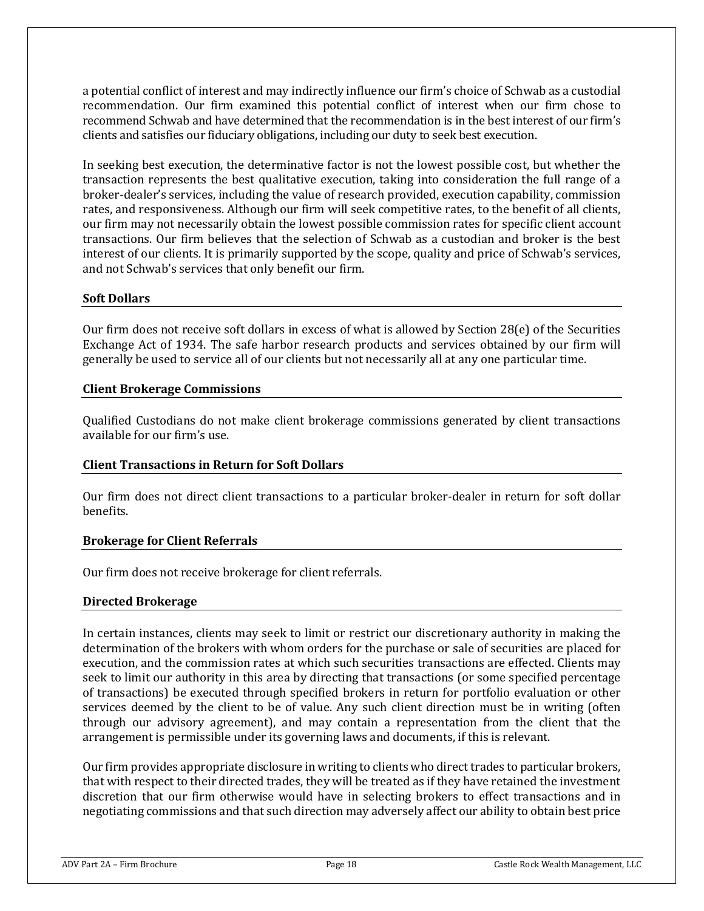a potential conflict of interest and may indirectly influence our firm's choice of Schwab as a custodial recommendation. Our firm examined this potential conflict of interest when our firm chose to recommend Schwab and have determined that the recommendation is in the best interest of our firm's clients and satisfies our fiduciary obligations, including our duty to seek best execution.

In seeking best execution, the determinative factor is not the lowest possible cost, but whether the transaction represents the best qualitative execution, taking into consideration the full range of a broker-dealer's services, including the value of research provided, execution capability, commission rates, and responsiveness. Although our firm will seek competitive rates, to the benefit of all clients, our firm may not necessarily obtain the lowest possible commission rates for specific client account transactions. Our firm believes that the selection of Schwab as a custodian and broker is the best interest of our clients. It is primarily supported by the scope, quality and price of Schwab's services, and not Schwab's services that only benefit our firm.

### **Soft Dollars**

Our firm does not receive soft dollars in excess of what is allowed by Section 28(e) of the Securities Exchange Act of 1934. The safe harbor research products and services obtained by our firm will generally be used to service all of our clients but not necessarily all at any one particular time.

### **Client Brokerage Commissions**

Qualified Custodians do not make client brokerage commissions generated by client transactions available for our firm's use.

## **Client Transactions in Return for Soft Dollars**

Our firm does not direct client transactions to a particular broker-dealer in return for soft dollar benefits.

### **Brokerage for Client Referrals**

Our firm does not receive brokerage for client referrals.

### **Directed Brokerage**

In certain instances, clients may seek to limit or restrict our discretionary authority in making the determination of the brokers with whom orders for the purchase or sale of securities are placed for execution, and the commission rates at which such securities transactions are effected. Clients may seek to limit our authority in this area by directing that transactions (or some specified percentage of transactions) be executed through specified brokers in return for portfolio evaluation or other services deemed by the client to be of value. Any such client direction must be in writing (often through our advisory agreement), and may contain a representation from the client that the arrangement is permissible under its governing laws and documents, if this is relevant.

Our firm provides appropriate disclosure in writing to clients who direct trades to particular brokers, that with respect to their directed trades, they will be treated as if they have retained the investment discretion that our firm otherwise would have in selecting brokers to effect transactions and in negotiating commissions and that such direction may adversely affect our ability to obtain best price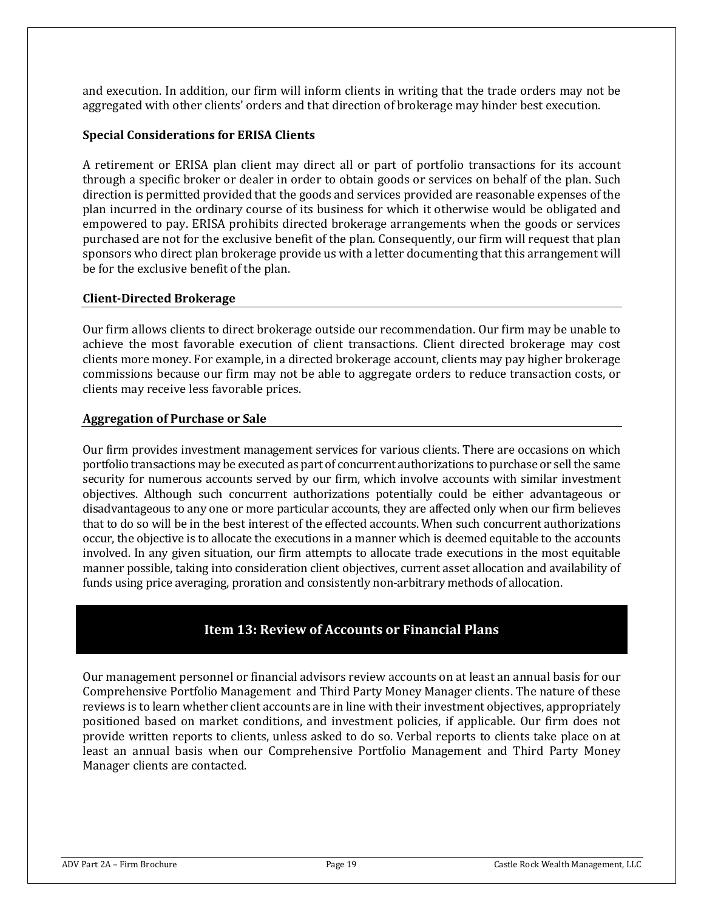and execution. In addition, our firm will inform clients in writing that the trade orders may not be aggregated with other clients' orders and that direction of brokerage may hinder best execution.

### **Special Considerations for ERISA Clients**

A retirement or ERISA plan client may direct all or part of portfolio transactions for its account through a specific broker or dealer in order to obtain goods or services on behalf of the plan. Such direction is permitted provided that the goods and services provided are reasonable expenses of the plan incurred in the ordinary course of its business for which it otherwise would be obligated and empowered to pay. ERISA prohibits directed brokerage arrangements when the goods or services purchased are not for the exclusive benefit of the plan. Consequently, our firm will request that plan sponsors who direct plan brokerage provide us with a letter documenting that this arrangement will be for the exclusive benefit of the plan.

## **Client-Directed Brokerage**

Our firm allows clients to direct brokerage outside our recommendation. Our firm may be unable to achieve the most favorable execution of client transactions. Client directed brokerage may cost clients more money. For example, in a directed brokerage account, clients may pay higher brokerage commissions because our firm may not be able to aggregate orders to reduce transaction costs, or clients may receive less favorable prices.

### **Aggregation of Purchase or Sale**

Our firm provides investment management services for various clients. There are occasions on which portfolio transactions may be executed as part of concurrent authorizations to purchase or sell the same security for numerous accounts served by our firm, which involve accounts with similar investment objectives. Although such concurrent authorizations potentially could be either advantageous or disadvantageous to any one or more particular accounts, they are affected only when our firm believes that to do so will be in the best interest of the effected accounts. When such concurrent authorizations occur, the objective is to allocate the executions in a manner which is deemed equitable to the accounts involved. In any given situation, our firm attempts to allocate trade executions in the most equitable manner possible, taking into consideration client objectives, current asset allocation and availability of funds using price averaging, proration and consistently non-arbitrary methods of allocation.

## **Item 13: Review of Accounts or Financial Plans**

<span id="page-18-0"></span>Our management personnel or financial advisors review accounts on at least an annual basis for our Comprehensive Portfolio Management and Third Party Money Manager clients. The nature of these reviews is to learn whether client accounts are in line with their investment objectives, appropriately positioned based on market conditions, and investment policies, if applicable. Our firm does not provide written reports to clients, unless asked to do so. Verbal reports to clients take place on at least an annual basis when our Comprehensive Portfolio Management and Third Party Money Manager clients are contacted.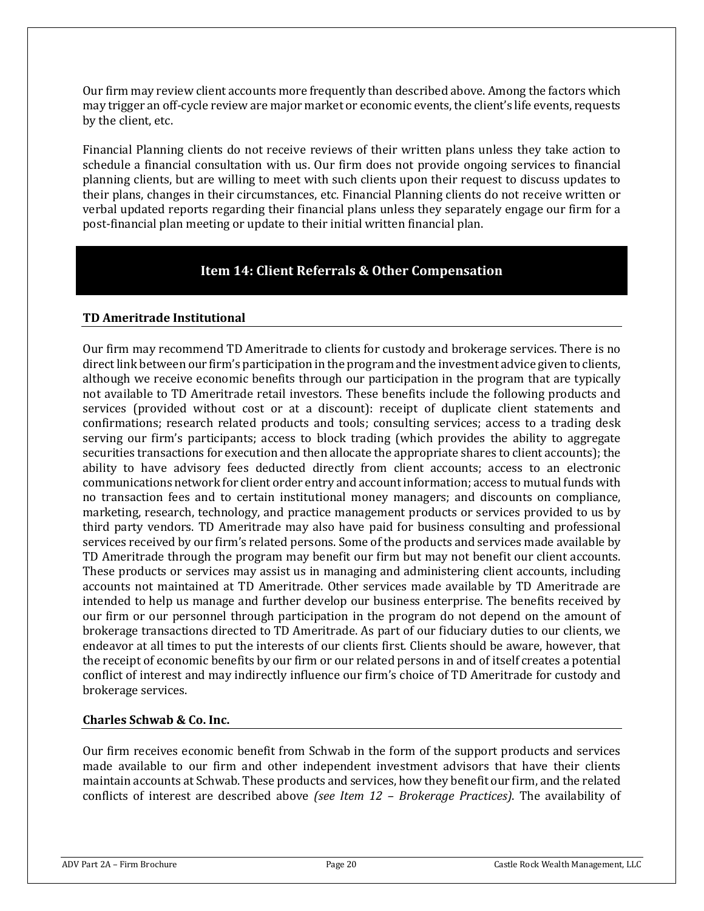Our firm may review client accounts more frequently than described above. Among the factors which may trigger an off-cycle review are major market or economic events, the client's life events, requests by the client, etc.

Financial Planning clients do not receive reviews of their written plans unless they take action to schedule a financial consultation with us. Our firm does not provide ongoing services to financial planning clients, but are willing to meet with such clients upon their request to discuss updates to their plans, changes in their circumstances, etc. Financial Planning clients do not receive written or verbal updated reports regarding their financial plans unless they separately engage our firm for a post-financial plan meeting or update to their initial written financial plan.

## **Item 14: Client Referrals & Other Compensation**

## <span id="page-19-0"></span>**TD Ameritrade Institutional**

Our firm may recommend TD Ameritrade to clients for custody and brokerage services. There is no direct link between our firm's participation in the program and the investment advice given to clients, although we receive economic benefits through our participation in the program that are typically not available to TD Ameritrade retail investors. These benefits include the following products and services (provided without cost or at a discount): receipt of duplicate client statements and confirmations; research related products and tools; consulting services; access to a trading desk serving our firm's participants; access to block trading (which provides the ability to aggregate securities transactions for execution and then allocate the appropriate shares to client accounts); the ability to have advisory fees deducted directly from client accounts; access to an electronic communications network for client order entry and account information; access to mutual funds with no transaction fees and to certain institutional money managers; and discounts on compliance, marketing, research, technology, and practice management products or services provided to us by third party vendors. TD Ameritrade may also have paid for business consulting and professional services received by our firm's related persons. Some of the products and services made available by TD Ameritrade through the program may benefit our firm but may not benefit our client accounts. These products or services may assist us in managing and administering client accounts, including accounts not maintained at TD Ameritrade. Other services made available by TD Ameritrade are intended to help us manage and further develop our business enterprise. The benefits received by our firm or our personnel through participation in the program do not depend on the amount of brokerage transactions directed to TD Ameritrade. As part of our fiduciary duties to our clients, we endeavor at all times to put the interests of our clients first. Clients should be aware, however, that the receipt of economic benefits by our firm or our related persons in and of itself creates a potential conflict of interest and may indirectly influence our firm's choice of TD Ameritrade for custody and brokerage services.

## **Charles Schwab & Co. Inc.**

Our firm receives economic benefit from Schwab in the form of the support products and services made available to our firm and other independent investment advisors that have their clients maintain accounts at Schwab. These products and services, how they benefit our firm, and the related conflicts of interest are described above *(see Item 12 – Brokerage Practices)*. The availability of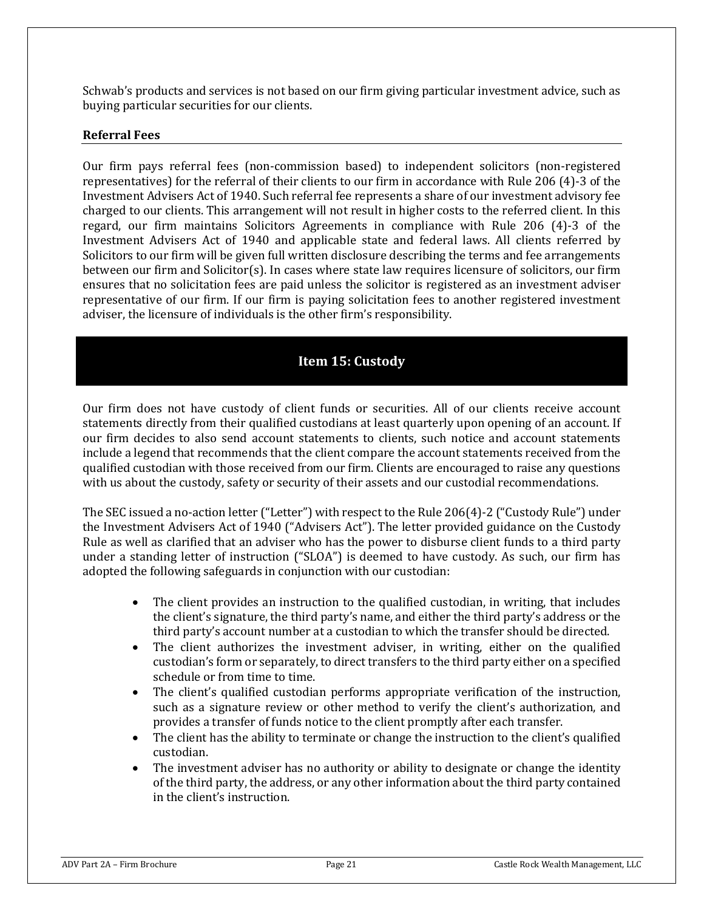Schwab's products and services is not based on our firm giving particular investment advice, such as buying particular securities for our clients.

## **Referral Fees**

Our firm pays referral fees (non-commission based) to independent solicitors (non-registered representatives) for the referral of their clients to our firm in accordance with Rule 206 (4)-3 of the Investment Advisers Act of 1940. Such referral fee represents a share of our investment advisory fee charged to our clients. This arrangement will not result in higher costs to the referred client. In this regard, our firm maintains Solicitors Agreements in compliance with Rule 206 (4)-3 of the Investment Advisers Act of 1940 and applicable state and federal laws. All clients referred by Solicitors to our firm will be given full written disclosure describing the terms and fee arrangements between our firm and Solicitor(s). In cases where state law requires licensure of solicitors, our firm ensures that no solicitation fees are paid unless the solicitor is registered as an investment adviser representative of our firm. If our firm is paying solicitation fees to another registered investment adviser, the licensure of individuals is the other firm's responsibility.

## **Item 15: Custody**

<span id="page-20-0"></span>Our firm does not have custody of client funds or securities. All of our clients receive account statements directly from their qualified custodians at least quarterly upon opening of an account. If our firm decides to also send account statements to clients, such notice and account statements include a legend that recommends that the client compare the account statements received from the qualified custodian with those received from our firm. Clients are encouraged to raise any questions with us about the custody, safety or security of their assets and our custodial recommendations.

The SEC issued a no-action letter ("Letter") with respect to the Rule 206(4)-2 ("Custody Rule") under the Investment Advisers Act of 1940 ("Advisers Act"). The letter provided guidance on the Custody Rule as well as clarified that an adviser who has the power to disburse client funds to a third party under a standing letter of instruction ("SLOA") is deemed to have custody. As such, our firm has adopted the following safeguards in conjunction with our custodian:

- The client provides an instruction to the qualified custodian, in writing, that includes the client's signature, the third party's name, and either the third party's address or the third party's account number at a custodian to which the transfer should be directed.
- The client authorizes the investment adviser, in writing, either on the qualified custodian's form or separately, to direct transfers to the third party either on a specified schedule or from time to time.
- The client's qualified custodian performs appropriate verification of the instruction, such as a signature review or other method to verify the client's authorization, and provides a transfer of funds notice to the client promptly after each transfer.
- The client has the ability to terminate or change the instruction to the client's qualified custodian.
- The investment adviser has no authority or ability to designate or change the identity of the third party, the address, or any other information about the third party contained in the client's instruction.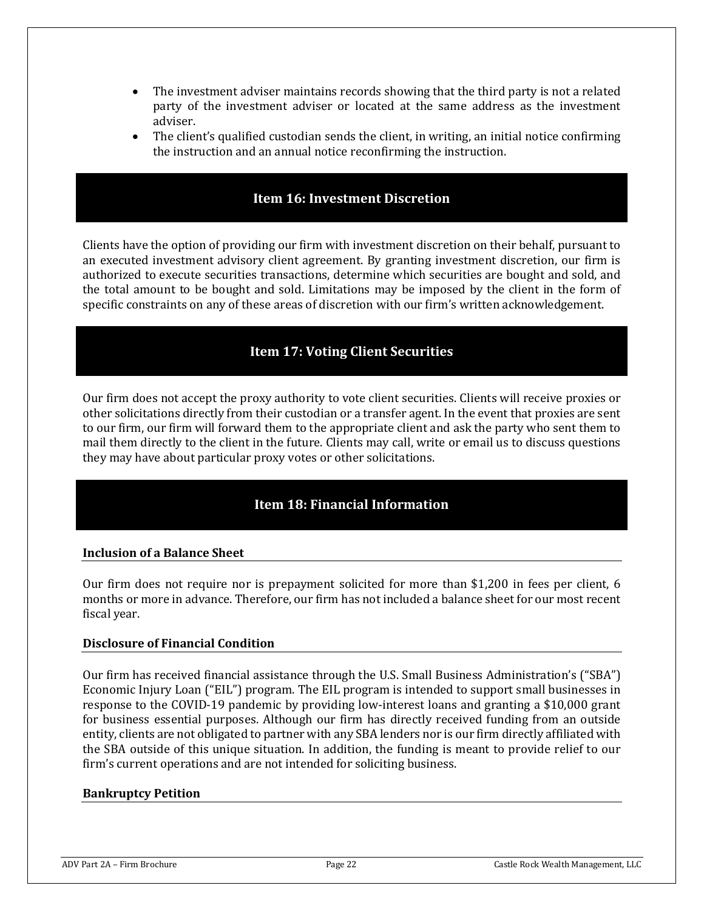- The investment adviser maintains records showing that the third party is not a related party of the investment adviser or located at the same address as the investment adviser.
- The client's qualified custodian sends the client, in writing, an initial notice confirming the instruction and an annual notice reconfirming the instruction.

## **Item 16: Investment Discretion**

<span id="page-21-0"></span>Clients have the option of providing our firm with investment discretion on their behalf, pursuant to an executed investment advisory client agreement. By granting investment discretion, our firm is authorized to execute securities transactions, determine which securities are bought and sold, and the total amount to be bought and sold. Limitations may be imposed by the client in the form of specific constraints on any of these areas of discretion with our firm's written acknowledgement.

## **Item 17: Voting Client Securities**

<span id="page-21-1"></span>Our firm does not accept the proxy authority to vote client securities. Clients will receive proxies or other solicitations directly from their custodian or a transfer agent. In the event that proxies are sent to our firm, our firm will forward them to the appropriate client and ask the party who sent them to mail them directly to the client in the future. Clients may call, write or email us to discuss questions they may have about particular proxy votes or other solicitations.

## **Item 18: Financial Information**

### <span id="page-21-2"></span>**Inclusion of a Balance Sheet**

Our firm does not require nor is prepayment solicited for more than \$1,200 in fees per client, 6 months or more in advance. Therefore, our firm has not included a balance sheet for our most recent fiscal year.

### **Disclosure of Financial Condition**

Our firm has received financial assistance through the U.S. Small Business Administration's ("SBA") Economic Injury Loan ("EIL") program. The EIL program is intended to support small businesses in response to the COVID-19 pandemic by providing low-interest loans and granting a \$10,000 grant for business essential purposes. Although our firm has directly received funding from an outside entity, clients are not obligated to partner with any SBA lenders nor is our firm directly affiliated with the SBA outside of this unique situation. In addition, the funding is meant to provide relief to our firm's current operations and are not intended for soliciting business.

### **Bankruptcy Petition**